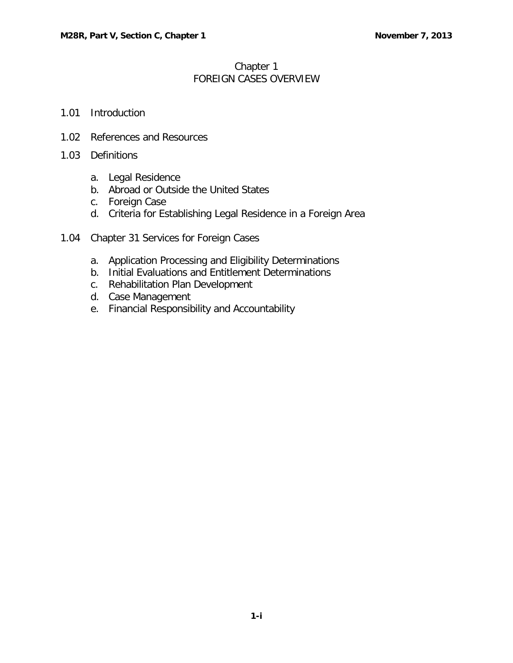## Chapter 1 FOREIGN CASES OVERVIEW

- 1.01 [Introduction](#page-1-0)
- 1.02 [References and Resources](#page-1-1)
- 1.03 [Definitions](#page-1-2)
	- a. [Legal Residence](#page-1-3)
	- b. [Abroad or Outside the United States](#page-1-4)
	- c. [Foreign Case](#page-1-5)
	- d. [Criteria for Establishing Legal Residence in a Foreign Area](#page-2-0)
- 1.04 [Chapter 31 Services for Foreign Cases](#page-2-1)
	- a. [Application Processing and Eligibility Determinations](#page-2-2)
	- b. [Initial Evaluations and Entitlement Determinations](#page-2-3)
	- c. [Rehabilitation Plan Development](#page-2-4)
	- d. [Case Management](#page-2-5)
	- e. [Financial Responsibility and Accountability](#page-2-6)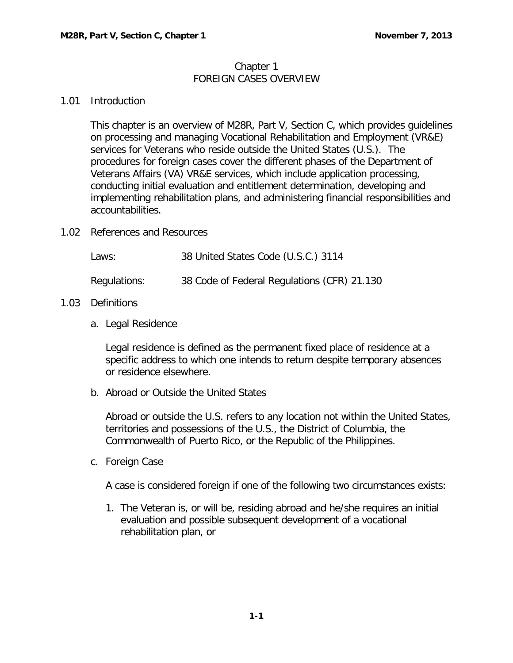## Chapter 1 FOREIGN CASES OVERVIEW

## <span id="page-1-0"></span>1.01 Introduction

This chapter is an overview of M28R, Part V, Section C, which provides guidelines on processing and managing Vocational Rehabilitation and Employment (VR&E) services for Veterans who reside outside the United States (U.S.). The procedures for foreign cases cover the different phases of the Department of Veterans Affairs (VA) VR&E services, which include application processing, conducting initial evaluation and entitlement determination, developing and implementing rehabilitation plans, and administering financial responsibilities and accountabilities.

<span id="page-1-1"></span>1.02 References and Resources

| Laws:        | 38 United States Code (U.S.C.) 3114         |
|--------------|---------------------------------------------|
| Regulations: | 38 Code of Federal Regulations (CFR) 21.130 |

## <span id="page-1-3"></span><span id="page-1-2"></span>1.03 Definitions

a. Legal Residence

Legal residence is defined as the permanent fixed place of residence at a specific address to which one intends to return despite temporary absences or residence elsewhere.

<span id="page-1-4"></span>b. Abroad or Outside the United States

Abroad or outside the U.S. refers to any location not within the United States, territories and possessions of the U.S., the District of Columbia, the Commonwealth of Puerto Rico, or the Republic of the Philippines.

<span id="page-1-5"></span>c. Foreign Case

A case is considered foreign if one of the following two circumstances exists:

1. The Veteran is, or will be, residing abroad and he/she requires an initial evaluation and possible subsequent development of a vocational rehabilitation plan, or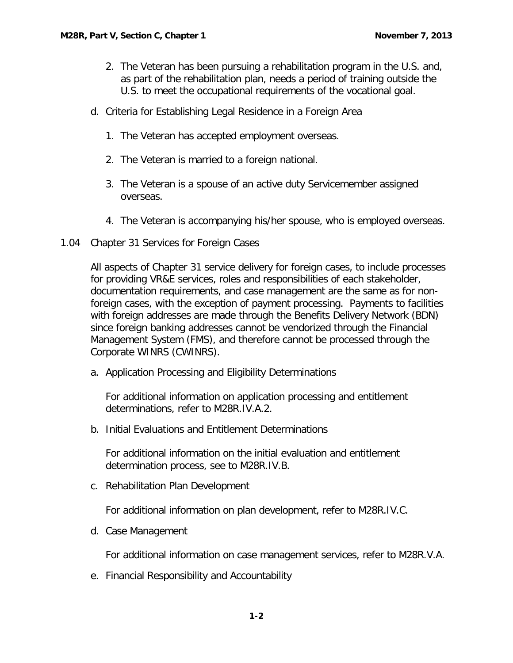- 2. The Veteran has been pursuing a rehabilitation program in the U.S. and, as part of the rehabilitation plan, needs a period of training outside the U.S. to meet the occupational requirements of the vocational goal.
- <span id="page-2-0"></span>d. Criteria for Establishing Legal Residence in a Foreign Area
	- 1. The Veteran has accepted employment overseas.
	- 2. The Veteran is married to a foreign national.
	- 3. The Veteran is a spouse of an active duty Servicemember assigned overseas.
	- 4. The Veteran is accompanying his/her spouse, who is employed overseas.
- <span id="page-2-1"></span>1.04 Chapter 31 Services for Foreign Cases

All aspects of Chapter 31 service delivery for foreign cases, to include processes for providing VR&E services, roles and responsibilities of each stakeholder, documentation requirements, and case management are the same as for nonforeign cases, with the exception of payment processing. Payments to facilities with foreign addresses are made through the Benefits Delivery Network (BDN) since foreign banking addresses cannot be vendorized through the Financial Management System (FMS), and therefore cannot be processed through the Corporate WINRS (CWINRS).

<span id="page-2-2"></span>a. Application Processing and Eligibility Determinations

For additional information on application processing and entitlement determinations, refer to M28R.IV.A.2.

<span id="page-2-3"></span>b. Initial Evaluations and Entitlement Determinations

For additional information on the initial evaluation and entitlement determination process, see to M28R.IV.B.

<span id="page-2-4"></span>c. Rehabilitation Plan Development

For additional information on plan development, refer to M28R.IV.C.

<span id="page-2-5"></span>d. Case Management

For additional information on case management services, refer to M28R.V.A.

<span id="page-2-6"></span>e. Financial Responsibility and Accountability